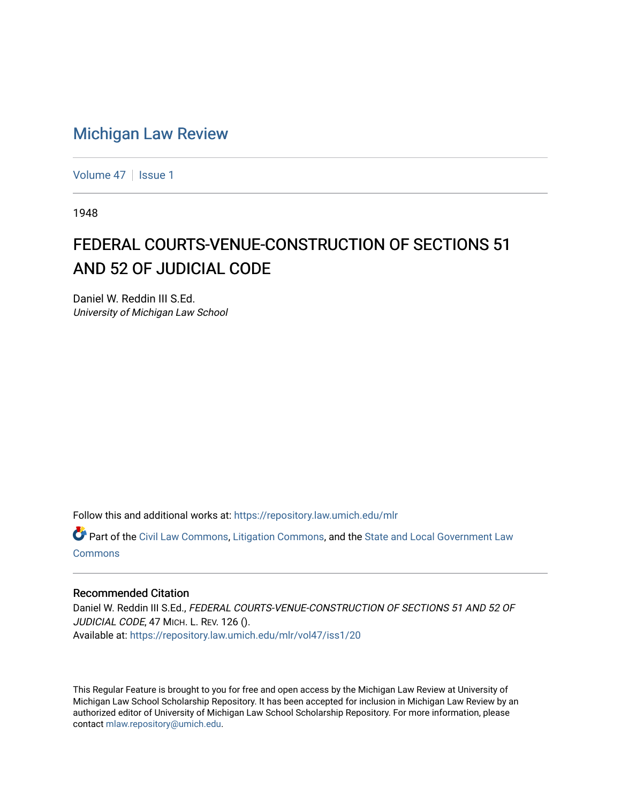## [Michigan Law Review](https://repository.law.umich.edu/mlr)

[Volume 47](https://repository.law.umich.edu/mlr/vol47) | [Issue 1](https://repository.law.umich.edu/mlr/vol47/iss1)

1948

## FEDERAL COURTS-VENUE-CONSTRUCTION OF SECTIONS 51 AND 52 OF JUDICIAL CODE

Daniel W. Reddin III S.Ed. University of Michigan Law School

Follow this and additional works at: [https://repository.law.umich.edu/mlr](https://repository.law.umich.edu/mlr?utm_source=repository.law.umich.edu%2Fmlr%2Fvol47%2Fiss1%2F20&utm_medium=PDF&utm_campaign=PDFCoverPages) 

Part of the [Civil Law Commons](http://network.bepress.com/hgg/discipline/835?utm_source=repository.law.umich.edu%2Fmlr%2Fvol47%2Fiss1%2F20&utm_medium=PDF&utm_campaign=PDFCoverPages), [Litigation Commons,](http://network.bepress.com/hgg/discipline/910?utm_source=repository.law.umich.edu%2Fmlr%2Fvol47%2Fiss1%2F20&utm_medium=PDF&utm_campaign=PDFCoverPages) and the [State and Local Government Law](http://network.bepress.com/hgg/discipline/879?utm_source=repository.law.umich.edu%2Fmlr%2Fvol47%2Fiss1%2F20&utm_medium=PDF&utm_campaign=PDFCoverPages) [Commons](http://network.bepress.com/hgg/discipline/879?utm_source=repository.law.umich.edu%2Fmlr%2Fvol47%2Fiss1%2F20&utm_medium=PDF&utm_campaign=PDFCoverPages)

## Recommended Citation

Daniel W. Reddin III S.Ed., FEDERAL COURTS-VENUE-CONSTRUCTION OF SECTIONS 51 AND 52 OF JUDICIAL CODE, 47 MICH. L. REV. 126 (). Available at: [https://repository.law.umich.edu/mlr/vol47/iss1/20](https://repository.law.umich.edu/mlr/vol47/iss1/20?utm_source=repository.law.umich.edu%2Fmlr%2Fvol47%2Fiss1%2F20&utm_medium=PDF&utm_campaign=PDFCoverPages) 

This Regular Feature is brought to you for free and open access by the Michigan Law Review at University of Michigan Law School Scholarship Repository. It has been accepted for inclusion in Michigan Law Review by an authorized editor of University of Michigan Law School Scholarship Repository. For more information, please contact [mlaw.repository@umich.edu](mailto:mlaw.repository@umich.edu).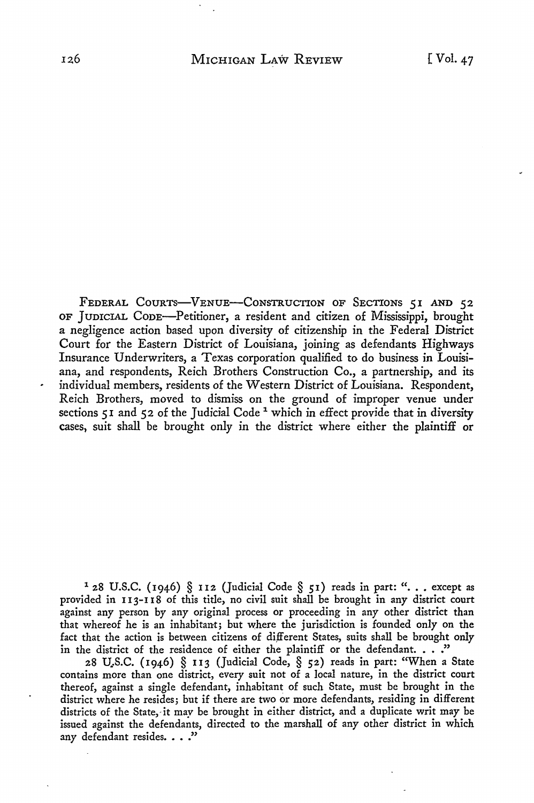FEDERAL COURTS-VENUE-CONSTRUCTION OF SECTIONS 51 AND 52 OF JumcIAL CODE-Petitioner, a resident and citizen of Mississippi, brought a negligence action based upon diversity of citizenship in the Federal District Court for the Eastern District of Louisiana, joining as defendants Highways Insurance Underwriters, a Texas corporation qualified to do business in Louisiana, and respondents, Reich Brothers Construction Co., a partnership, and its individual members, residents of the Western District of Louisiana. Respondent, Reich Brothers, moved to dismiss on the ground of improper venue under sections 51 and 52 of the Judicial Code<sup>1</sup> which in effect provide that in diversity cases, suit shall be brought only in the district where either the plaintiff or

<sup>1</sup> 28 U.S.C. (1946) § 112 (Judicial Code § 51) reads in part: ". . . except as provided in 113-118 of this title, no civil suit shall be brought in any district court against any person by any original process or proceeding in any other district than that whereof he is an inhabitant; but where the jurisdiction is founded only on the fact that the action is between citizens of dijferent States, suits shall be brought only in the district of the residence of either the plaintiff or the defendant.  $\ldots$ ."

28 U\_.S.C. (1946) § II3 (Judicial Code, § 52) reads in part: "When a State contains more than one district, every suit not of a local nature, in the district court thereof, against a single defendant, inhabitant of such State, must be brought in the district where he resides; but if there are two or more defendants, residing in different districts of the State, it may be brought in either district, and a duplicate writ may be issued against the defendants, directed to the marshall of any other district in which any defendant resides. . . ."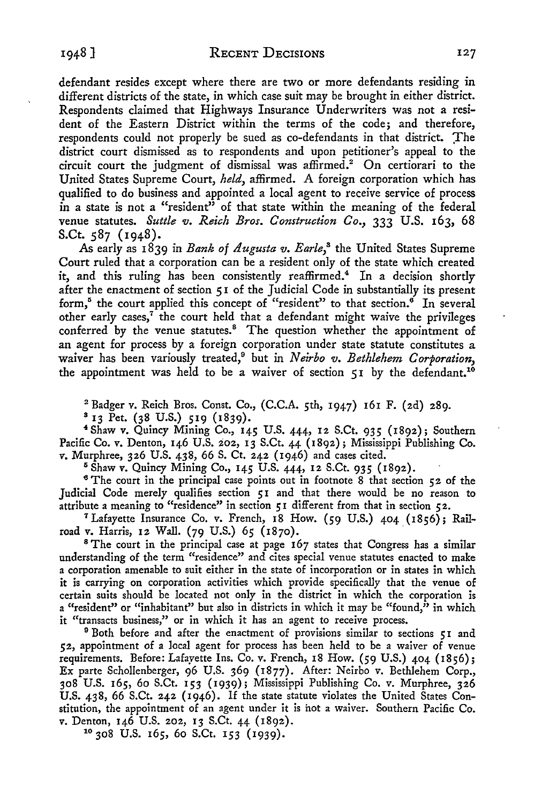defendant resides except where there are two or more defendants residing in different districts of the state, in which case suit may be brought in either district. Respondents claimed that Highways Insurance Underwriters was not a resident of the Eastern District within the terms of the code; and therefore, respondents could not properly be sued as co-defendants in that district. The district court dismissed as to respondents and upon petitioner's appeal to the circuit court the judgment of dismissal was affirmed.<sup>2</sup> On certiorari to the United States Supreme Court, *held,* affirmed. A foreign corporation which has qualified to do business and appointed a local agent to receive service of process in a state is not a "resident" of that state within the meaning of the federal venue statutes. *Suttle v. Reich Bros. Construction Co.*, 333 U.S. 163, 68 S.Ct. 587 (1948).

As early as 1839 in *Bank of Augusta v. Earle*,<sup>8</sup> the United States Supreme Court ruled that a corporation can be a resident only of the state which created it, and this ruling has been consistently reaffirmed.<sup>4</sup> In a decision shortly after the enactment of section *5* I of the Judicial Code in substantially its present form,<sup>5</sup> the court applied this concept of "resident" to that section.<sup>6</sup> In several other early cases, $<sup>7</sup>$  the court held that a defendant might waive the privileges</sup> conferred by the venue statutes.<sup>8</sup> The question whether the appointment of an agent for process by a foreign corporation under state statute constitutes a waiver has been variously treated,9 but in *Neirbo v. Bethlehem Corporation,*  the appointment was held to be a waiver of section 51 by the defendant.<sup>10</sup>

2 Badger v. Reich Bros. Const. Co., (C.C.A. 5th, 1947) 161 F. (2d) 289.

8 13 Pet. (38 U.S.) 519 (1839).

<sup>4</sup> Shaw v. Quincy Mjning Co., 145 U.S. 444, 12 S.Ct. 935 (1892); Southern Pacific Co. v. Denton, 146 U.S. 202, 13 S.Ct. 44 (1892); Mississippi Publishing Co. v. Murphree, 326 U.S. 438, 66 S. Ct. 242 (1946) and cases cited.<br><sup>5</sup> Shaw v. Quincy Mining Co., 145 U.S. 444, 12 S.Ct. 935 (1892).

<sup>6</sup> The court in the principal case points out in footnote 8 that section  $52$  of the Judicial Code merely qualifies section 51 and that there would be no reason to attribute a meaning to "residence" in section *5* I different from that in section 52.

7 Lafayette Insurance Co. v. French, 18 How. (59 U.S.) 404 (1856); Railroad v. Harris, 12 Wall. (79 U.S.) 65 (1870).

<sup>8</sup> The court in the principal case at page 167 states that Congress has a similar understanding of the term "residence" and cites special venue statutes enacted to make a corporation amenable to suit either in the state of incorporation or in states in which it is carrying on corporation activities which provide specifically that the venue of certain suits should be located not only in the district in which the corporation is a "resident" or "inhabitant" but also in districts in which it may be "found," in which it "transacts business," or in which it has an agent to receive process.

<sup>9</sup> Both before and after the enactment of provisions similar to sections  $\varsigma$ I and 52, appointment of a local agent for process has been held to be a waiver of venue requirements. Before: Lafayette Ins. Co. v. French, 18 How. (59 U.S.) 404 (1856); Ex parte Schollenberger, 96 U.S. 369 (1877). After: Neirbo v. Bethlehem Corp., 308 U.S. 165, 60 S.Ct. 153 (1939); Mississippi Publishing Co. v. Murphree, 326 U.S. 438, 66 S.Ct. 242 (1946). If the state statute violates the United States Constitution, the appointment of an agent under it is hot a waiver. Southern Pacific Co. v. Denton, 146 U.S. 202, 13 S.Ct. 44 (1892). 10 308 U.S. 165, 60 S.Ct. 153 (1939).